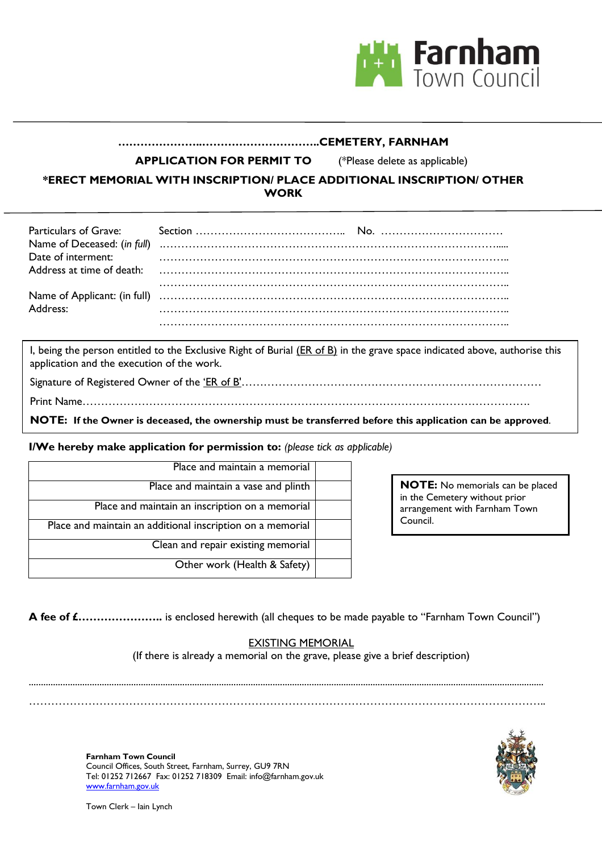

## **…………………..…………………………..CEMETERY, FARNHAM**

**APPLICATION FOR PERMIT TO** (\*Please delete as applicable)

**\*ERECT MEMORIAL WITH INSCRIPTION/ PLACE ADDITIONAL INSCRIPTION/ OTHER WORK**

| Date of interment: |  |
|--------------------|--|
| Address:           |  |

I, being the person entitled to the Exclusive Right of Burial (ER of B) in the grave space indicated above, authorise this application and the execution of the work.

Signature of Registered Owner of the 'ER of B'…………………………………………………………………………………………

Print Name………………………………………………………………………………………………………….

**NOTE: If the Owner is deceased, the ownership must be transferred before this application can be approved**.

**I/We hereby make application for permission to:** *(please tick as applicable)*

| Place and maintain a memorial                              |
|------------------------------------------------------------|
| Place and maintain a vase and plinth                       |
| Place and maintain an inscription on a memorial            |
| Place and maintain an additional inscription on a memorial |
| Clean and repair existing memorial                         |
| Other work (Health & Safety)                               |

**NOTE:** No memorials can be placed in the Cemetery without prior arrangement with Farnham Town Council.

**A fee of £…………………..** is enclosed herewith (all cheques to be made payable to "Farnham Town Council")

### EXISTING MEMORIAL

(If there is already a memorial on the grave, please give a brief description)

................................................................................................................................................................................................................... …………………………………………………………………………………………………………………………..



**Farnham Town Council** Council Offices, South Street, Farnham, Surrey, GU9 7RN Tel: 01252 712667 Fax: 01252 718309 Email: info@farnham.gov.uk www.farnham.gov.uk